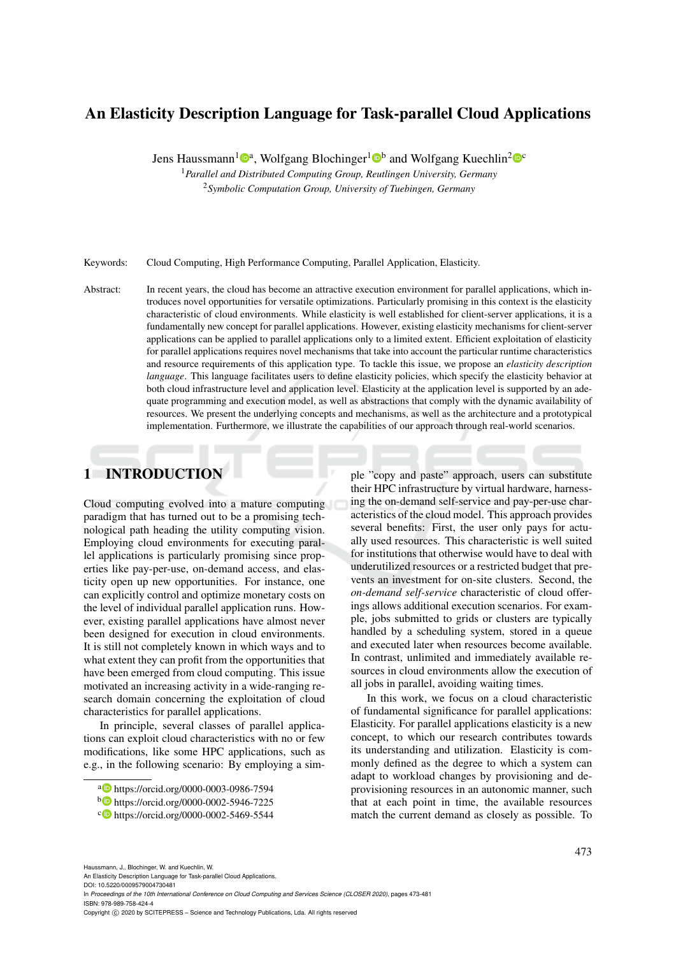# An Elasticity Description Language for Task-parallel Cloud Applications

Jens Haussmann<sup>1</sup><sup>®</sup>, Wolfgang Blochinger<sup>1</sup><sup>®</sup> and Wolfgang Kuechlin<sup>2</sup><sup>®</sup>

<sup>1</sup>*Parallel and Distributed Computing Group, Reutlingen University, Germany* <sup>2</sup>*Symbolic Computation Group, University of Tuebingen, Germany*

Keywords: Cloud Computing, High Performance Computing, Parallel Application, Elasticity.

Abstract: In recent years, the cloud has become an attractive execution environment for parallel applications, which introduces novel opportunities for versatile optimizations. Particularly promising in this context is the elasticity characteristic of cloud environments. While elasticity is well established for client-server applications, it is a fundamentally new concept for parallel applications. However, existing elasticity mechanisms for client-server applications can be applied to parallel applications only to a limited extent. Efficient exploitation of elasticity for parallel applications requires novel mechanisms that take into account the particular runtime characteristics and resource requirements of this application type. To tackle this issue, we propose an *elasticity description language*. This language facilitates users to define elasticity policies, which specify the elasticity behavior at both cloud infrastructure level and application level. Elasticity at the application level is supported by an adequate programming and execution model, as well as abstractions that comply with the dynamic availability of resources. We present the underlying concepts and mechanisms, as well as the architecture and a prototypical implementation. Furthermore, we illustrate the capabilities of our approach through real-world scenarios.

# 1 INTRODUCTION

Cloud computing evolved into a mature computing paradigm that has turned out to be a promising technological path heading the utility computing vision. Employing cloud environments for executing parallel applications is particularly promising since properties like pay-per-use, on-demand access, and elasticity open up new opportunities. For instance, one can explicitly control and optimize monetary costs on the level of individual parallel application runs. However, existing parallel applications have almost never been designed for execution in cloud environments. It is still not completely known in which ways and to what extent they can profit from the opportunities that have been emerged from cloud computing. This issue motivated an increasing activity in a wide-ranging research domain concerning the exploitation of cloud characteristics for parallel applications.

In principle, several classes of parallel applications can exploit cloud characteristics with no or few modifications, like some HPC applications, such as e.g., in the following scenario: By employing a simple "copy and paste" approach, users can substitute their HPC infrastructure by virtual hardware, harnessing the on-demand self-service and pay-per-use characteristics of the cloud model. This approach provides several benefits: First, the user only pays for actually used resources. This characteristic is well suited for institutions that otherwise would have to deal with underutilized resources or a restricted budget that prevents an investment for on-site clusters. Second, the *on-demand self-service* characteristic of cloud offerings allows additional execution scenarios. For example, jobs submitted to grids or clusters are typically handled by a scheduling system, stored in a queue and executed later when resources become available. In contrast, unlimited and immediately available resources in cloud environments allow the execution of all jobs in parallel, avoiding waiting times.

In this work, we focus on a cloud characteristic of fundamental significance for parallel applications: Elasticity. For parallel applications elasticity is a new concept, to which our research contributes towards its understanding and utilization. Elasticity is commonly defined as the degree to which a system can adapt to workload changes by provisioning and deprovisioning resources in an autonomic manner, such that at each point in time, the available resources match the current demand as closely as possible. To

Haussmann, J., Blochinger, W. and Kuechlin, W.

An Elasticity Description Language for Task-parallel Cloud Applications. DOI: 10.5220/0009579004730481

In *Proceedings of the 10th International Conference on Cloud Computing and Services Science (CLOSER 2020)*, pages 473-481 ISBN: 978-989-758-424-4

<sup>a</sup> https://orcid.org/0000-0003-0986-7594

<sup>b</sup> https://orcid.org/0000-0002-5946-7225

c https://orcid.org/0000-0002-5469-5544

Copyright © 2020 by SCITEPRESS - Science and Technology Publications, Lda. All rights reserved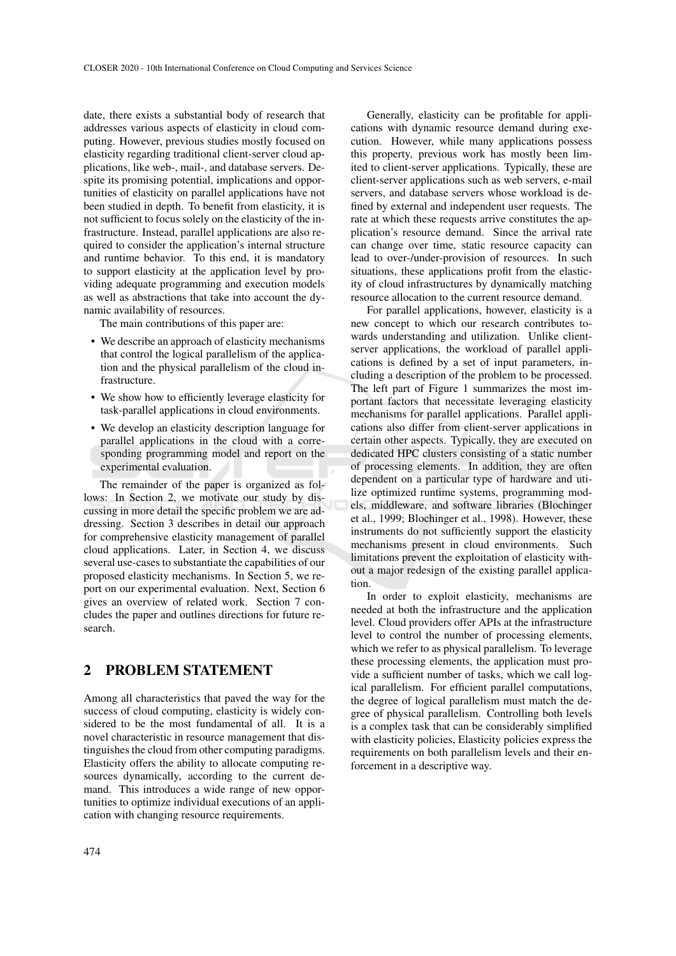date, there exists a substantial body of research that addresses various aspects of elasticity in cloud computing. However, previous studies mostly focused on elasticity regarding traditional client-server cloud applications, like web-, mail-, and database servers. Despite its promising potential, implications and opportunities of elasticity on parallel applications have not been studied in depth. To benefit from elasticity, it is not sufficient to focus solely on the elasticity of the infrastructure. Instead, parallel applications are also required to consider the application's internal structure and runtime behavior. To this end, it is mandatory to support elasticity at the application level by providing adequate programming and execution models as well as abstractions that take into account the dynamic availability of resources.

The main contributions of this paper are:

- We describe an approach of elasticity mechanisms that control the logical parallelism of the application and the physical parallelism of the cloud infrastructure.
- We show how to efficiently leverage elasticity for task-parallel applications in cloud environments.
- We develop an elasticity description language for parallel applications in the cloud with a corresponding programming model and report on the experimental evaluation.

The remainder of the paper is organized as follows: In Section 2, we motivate our study by discussing in more detail the specific problem we are addressing. Section 3 describes in detail our approach for comprehensive elasticity management of parallel cloud applications. Later, in Section 4, we discuss several use-cases to substantiate the capabilities of our proposed elasticity mechanisms. In Section 5, we report on our experimental evaluation. Next, Section 6 gives an overview of related work. Section 7 concludes the paper and outlines directions for future research.

## 2 PROBLEM STATEMENT

Among all characteristics that paved the way for the success of cloud computing, elasticity is widely considered to be the most fundamental of all. It is a novel characteristic in resource management that distinguishes the cloud from other computing paradigms. Elasticity offers the ability to allocate computing resources dynamically, according to the current demand. This introduces a wide range of new opportunities to optimize individual executions of an application with changing resource requirements.

474

Generally, elasticity can be profitable for applications with dynamic resource demand during execution. However, while many applications possess this property, previous work has mostly been limited to client-server applications. Typically, these are client-server applications such as web servers, e-mail servers, and database servers whose workload is defined by external and independent user requests. The rate at which these requests arrive constitutes the application's resource demand. Since the arrival rate can change over time, static resource capacity can lead to over-/under-provision of resources. In such situations, these applications profit from the elasticity of cloud infrastructures by dynamically matching resource allocation to the current resource demand.

For parallel applications, however, elasticity is a new concept to which our research contributes towards understanding and utilization. Unlike clientserver applications, the workload of parallel applications is defined by a set of input parameters, including a description of the problem to be processed. The left part of Figure 1 summarizes the most important factors that necessitate leveraging elasticity mechanisms for parallel applications. Parallel applications also differ from client-server applications in certain other aspects. Typically, they are executed on dedicated HPC clusters consisting of a static number of processing elements. In addition, they are often dependent on a particular type of hardware and utilize optimized runtime systems, programming models, middleware, and software libraries (Blochinger et al., 1999; Blochinger et al., 1998). However, these instruments do not sufficiently support the elasticity mechanisms present in cloud environments. Such limitations prevent the exploitation of elasticity without a major redesign of the existing parallel application.

In order to exploit elasticity, mechanisms are needed at both the infrastructure and the application level. Cloud providers offer APIs at the infrastructure level to control the number of processing elements, which we refer to as physical parallelism. To leverage these processing elements, the application must provide a sufficient number of tasks, which we call logical parallelism. For efficient parallel computations, the degree of logical parallelism must match the degree of physical parallelism. Controlling both levels is a complex task that can be considerably simplified with elasticity policies, Elasticity policies express the requirements on both parallelism levels and their enforcement in a descriptive way.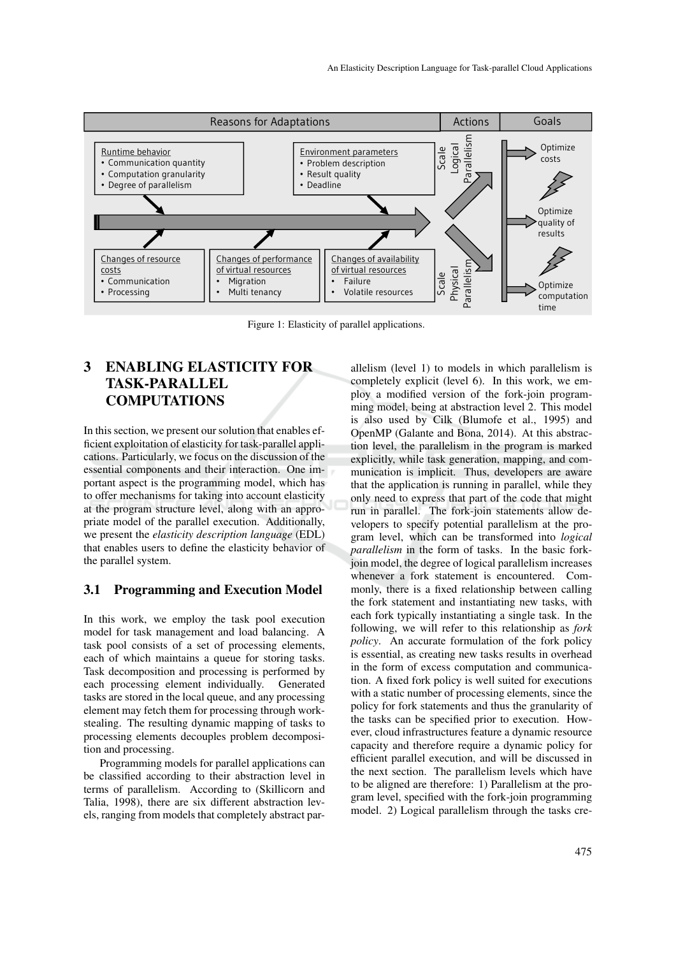

Figure 1: Elasticity of parallel applications.

# 3 ENABLING ELASTICITY FOR TASK-PARALLEL **COMPUTATIONS**

In this section, we present our solution that enables efficient exploitation of elasticity for task-parallel applications. Particularly, we focus on the discussion of the essential components and their interaction. One important aspect is the programming model, which has to offer mechanisms for taking into account elasticity at the program structure level, along with an appropriate model of the parallel execution. Additionally, we present the *elasticity description language* (EDL) that enables users to define the elasticity behavior of the parallel system.

### 3.1 Programming and Execution Model

In this work, we employ the task pool execution model for task management and load balancing. A task pool consists of a set of processing elements, each of which maintains a queue for storing tasks. Task decomposition and processing is performed by each processing element individually. Generated tasks are stored in the local queue, and any processing element may fetch them for processing through workstealing. The resulting dynamic mapping of tasks to processing elements decouples problem decomposition and processing.

Programming models for parallel applications can be classified according to their abstraction level in terms of parallelism. According to (Skillicorn and Talia, 1998), there are six different abstraction levels, ranging from models that completely abstract par-

allelism (level 1) to models in which parallelism is completely explicit (level 6). In this work, we employ a modified version of the fork-join programming model, being at abstraction level 2. This model is also used by Cilk (Blumofe et al., 1995) and OpenMP (Galante and Bona, 2014). At this abstraction level, the parallelism in the program is marked explicitly, while task generation, mapping, and communication is implicit. Thus, developers are aware that the application is running in parallel, while they only need to express that part of the code that might run in parallel. The fork-join statements allow developers to specify potential parallelism at the program level, which can be transformed into *logical parallelism* in the form of tasks. In the basic forkjoin model, the degree of logical parallelism increases whenever a fork statement is encountered. Commonly, there is a fixed relationship between calling the fork statement and instantiating new tasks, with each fork typically instantiating a single task. In the following, we will refer to this relationship as *fork policy*. An accurate formulation of the fork policy is essential, as creating new tasks results in overhead in the form of excess computation and communication. A fixed fork policy is well suited for executions with a static number of processing elements, since the policy for fork statements and thus the granularity of the tasks can be specified prior to execution. However, cloud infrastructures feature a dynamic resource capacity and therefore require a dynamic policy for efficient parallel execution, and will be discussed in the next section. The parallelism levels which have to be aligned are therefore: 1) Parallelism at the program level, specified with the fork-join programming model. 2) Logical parallelism through the tasks cre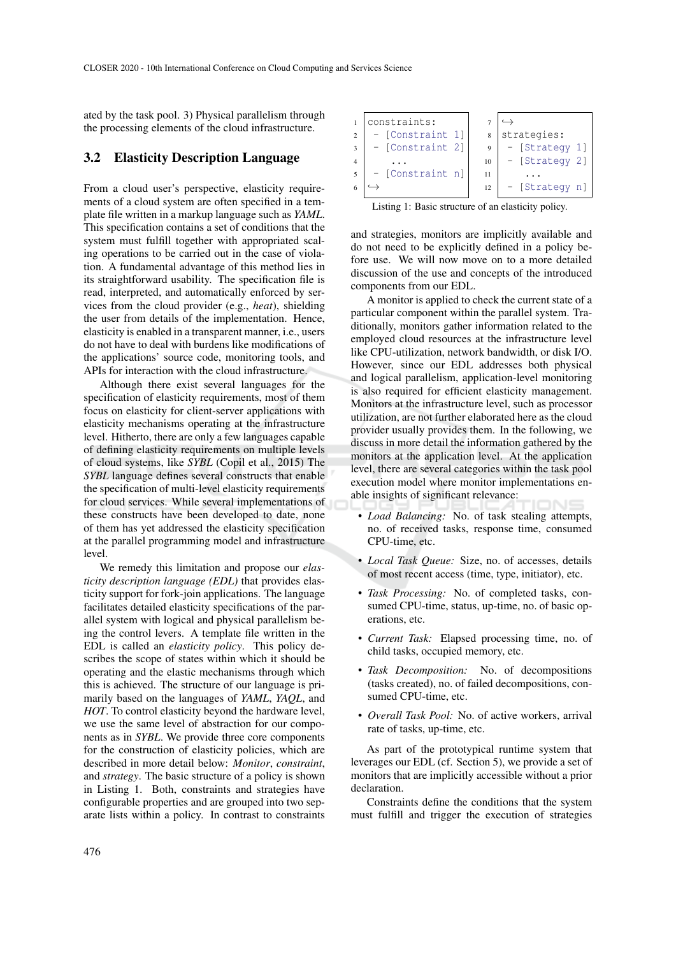ated by the task pool. 3) Physical parallelism through the processing elements of the cloud infrastructure.

#### 3.2 Elasticity Description Language

From a cloud user's perspective, elasticity requirements of a cloud system are often specified in a template file written in a markup language such as *YAML*. This specification contains a set of conditions that the system must fulfill together with appropriated scaling operations to be carried out in the case of violation. A fundamental advantage of this method lies in its straightforward usability. The specification file is read, interpreted, and automatically enforced by services from the cloud provider (e.g., *heat*), shielding the user from details of the implementation. Hence, elasticity is enabled in a transparent manner, i.e., users do not have to deal with burdens like modifications of the applications' source code, monitoring tools, and APIs for interaction with the cloud infrastructure.

Although there exist several languages for the specification of elasticity requirements, most of them focus on elasticity for client-server applications with elasticity mechanisms operating at the infrastructure level. Hitherto, there are only a few languages capable of defining elasticity requirements on multiple levels of cloud systems, like *SYBL* (Copil et al., 2015) The *SYBL* language defines several constructs that enable the specification of multi-level elasticity requirements for cloud services. While several implementations of these constructs have been developed to date, none of them has yet addressed the elasticity specification at the parallel programming model and infrastructure level.

We remedy this limitation and propose our *elasticity description language (EDL)* that provides elasticity support for fork-join applications. The language facilitates detailed elasticity specifications of the parallel system with logical and physical parallelism being the control levers. A template file written in the EDL is called an *elasticity policy*. This policy describes the scope of states within which it should be operating and the elastic mechanisms through which this is achieved. The structure of our language is primarily based on the languages of *YAML*, *YAQL*, and *HOT*. To control elasticity beyond the hardware level, we use the same level of abstraction for our components as in *SYBL*. We provide three core components for the construction of elasticity policies, which are described in more detail below: *Monitor*, *constraint*, and *strategy*. The basic structure of a policy is shown in Listing 1. Both, constraints and strategies have configurable properties and are grouped into two separate lists within a policy. In contrast to constraints

| constraints:     |    |                |  |  |
|------------------|----|----------------|--|--|
| - [Constraint 1] |    | strategies:    |  |  |
| - [Constraint 2] | 9  | - [Strategy 1] |  |  |
|                  | 10 | - [Strategy 2] |  |  |
| - [Constraint n] | 11 |                |  |  |
|                  | 12 | - [Strategy n] |  |  |
|                  |    |                |  |  |

Listing 1: Basic structure of an elasticity policy.

and strategies, monitors are implicitly available and do not need to be explicitly defined in a policy before use. We will now move on to a more detailed discussion of the use and concepts of the introduced components from our EDL.

A monitor is applied to check the current state of a particular component within the parallel system. Traditionally, monitors gather information related to the employed cloud resources at the infrastructure level like CPU-utilization, network bandwidth, or disk I/O. However, since our EDL addresses both physical and logical parallelism, application-level monitoring is also required for efficient elasticity management. Monitors at the infrastructure level, such as processor utilization, are not further elaborated here as the cloud provider usually provides them. In the following, we discuss in more detail the information gathered by the monitors at the application level. At the application level, there are several categories within the task pool execution model where monitor implementations enable insights of significant relevance:

- *Load Balancing:* No. of task stealing attempts, no. of received tasks, response time, consumed CPU-time, etc.
- *Local Task Queue:* Size, no. of accesses, details of most recent access (time, type, initiator), etc.
- *Task Processing:* No. of completed tasks, consumed CPU-time, status, up-time, no. of basic operations, etc.
- *Current Task:* Elapsed processing time, no. of child tasks, occupied memory, etc.
- *Task Decomposition:* No. of decompositions (tasks created), no. of failed decompositions, consumed CPU-time, etc.
- *Overall Task Pool:* No. of active workers, arrival rate of tasks, up-time, etc.

As part of the prototypical runtime system that leverages our EDL (cf. Section 5), we provide a set of monitors that are implicitly accessible without a prior declaration.

Constraints define the conditions that the system must fulfill and trigger the execution of strategies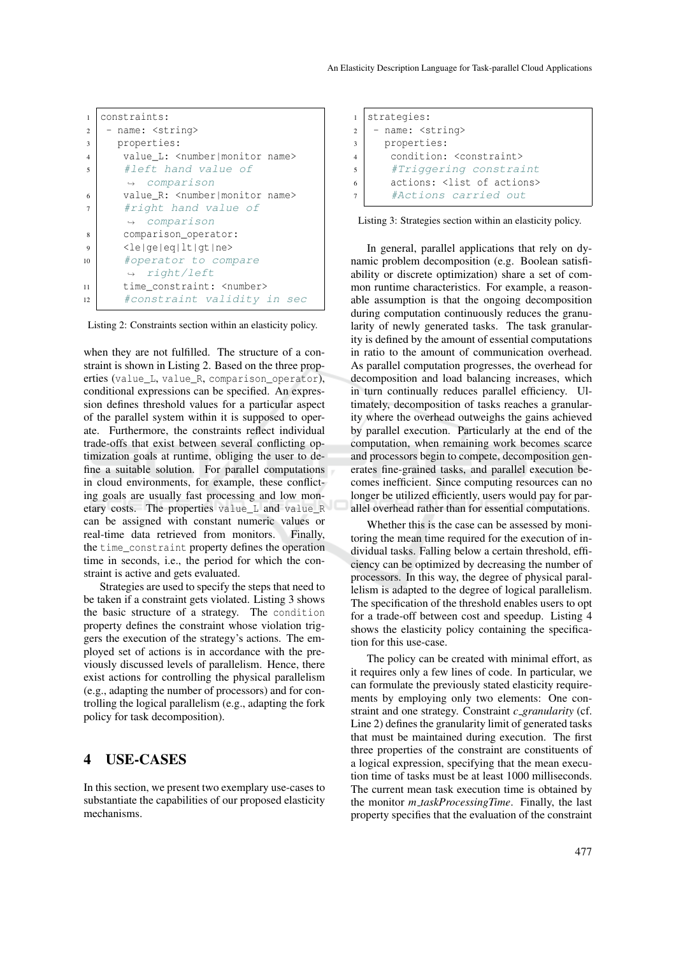| 1              | constraints:                                       |  |  |  |  |  |
|----------------|----------------------------------------------------|--|--|--|--|--|
| $\overline{2}$ | - name: <string></string>                          |  |  |  |  |  |
| 3              | properties:                                        |  |  |  |  |  |
| $\overline{4}$ | value L: <number monitor name=""></number monitor> |  |  |  |  |  |
| 5              | #left hand value of                                |  |  |  |  |  |
|                | $\leftrightarrow$ comparison                       |  |  |  |  |  |
| 6              | value R: <number monitor name=""></number monitor> |  |  |  |  |  |
| $\overline{7}$ | #right hand value of                               |  |  |  |  |  |
|                | $\leftrightarrow$ comparison                       |  |  |  |  |  |
| 8              | comparison_operator:                               |  |  |  |  |  |
| 9              | $\le$ le qe eq lt qt ne>                           |  |  |  |  |  |
| 10             | #operator to compare                               |  |  |  |  |  |
|                | $\rightarrow$ right/left                           |  |  |  |  |  |
| 11             | time constraint: <number></number>                 |  |  |  |  |  |
| 12             | #constraint validity in sec                        |  |  |  |  |  |

Listing 2: Constraints section within an elasticity policy.

when they are not fulfilled. The structure of a constraint is shown in Listing 2. Based on the three properties (value\_L, value\_R, comparison\_operator), conditional expressions can be specified. An expression defines threshold values for a particular aspect of the parallel system within it is supposed to operate. Furthermore, the constraints reflect individual trade-offs that exist between several conflicting optimization goals at runtime, obliging the user to define a suitable solution. For parallel computations in cloud environments, for example, these conflicting goals are usually fast processing and low monetary costs. The properties value\_L and value\_R can be assigned with constant numeric values or real-time data retrieved from monitors. Finally, the time\_constraint property defines the operation time in seconds, i.e., the period for which the constraint is active and gets evaluated.

Strategies are used to specify the steps that need to be taken if a constraint gets violated. Listing 3 shows the basic structure of a strategy. The condition property defines the constraint whose violation triggers the execution of the strategy's actions. The employed set of actions is in accordance with the previously discussed levels of parallelism. Hence, there exist actions for controlling the physical parallelism (e.g., adapting the number of processors) and for controlling the logical parallelism (e.g., adapting the fork policy for task decomposition).

### 4 USE-CASES

In this section, we present two exemplary use-cases to substantiate the capabilities of our proposed elasticity mechanisms.

```
1 strategies:
2 - name: \leq \leq \leq \leq \leq \leq \leq \leq \leq \leq \leq \leq \leq \leq \leq \leq \leq \leq \leq \leq \leq \leq \leq \leq \leq \leq \leq \leq \leq \leq \leq \leq \leq \leq \leq3 properties:
4 condition: <constraint>
5 #Triggering constraint
6 actions: <list of actions>
            #Actions carried out
```


In general, parallel applications that rely on dynamic problem decomposition (e.g. Boolean satisfiability or discrete optimization) share a set of common runtime characteristics. For example, a reasonable assumption is that the ongoing decomposition during computation continuously reduces the granularity of newly generated tasks. The task granularity is defined by the amount of essential computations in ratio to the amount of communication overhead. As parallel computation progresses, the overhead for decomposition and load balancing increases, which in turn continually reduces parallel efficiency. Ultimately, decomposition of tasks reaches a granularity where the overhead outweighs the gains achieved by parallel execution. Particularly at the end of the computation, when remaining work becomes scarce and processors begin to compete, decomposition generates fine-grained tasks, and parallel execution becomes inefficient. Since computing resources can no longer be utilized efficiently, users would pay for parallel overhead rather than for essential computations.

Whether this is the case can be assessed by monitoring the mean time required for the execution of individual tasks. Falling below a certain threshold, efficiency can be optimized by decreasing the number of processors. In this way, the degree of physical parallelism is adapted to the degree of logical parallelism. The specification of the threshold enables users to opt for a trade-off between cost and speedup. Listing 4 shows the elasticity policy containing the specification for this use-case.

The policy can be created with minimal effort, as it requires only a few lines of code. In particular, we can formulate the previously stated elasticity requirements by employing only two elements: One constraint and one strategy. Constraint *c granularity* (cf. Line 2) defines the granularity limit of generated tasks that must be maintained during execution. The first three properties of the constraint are constituents of a logical expression, specifying that the mean execution time of tasks must be at least 1000 milliseconds. The current mean task execution time is obtained by the monitor *m taskProcessingTime*. Finally, the last property specifies that the evaluation of the constraint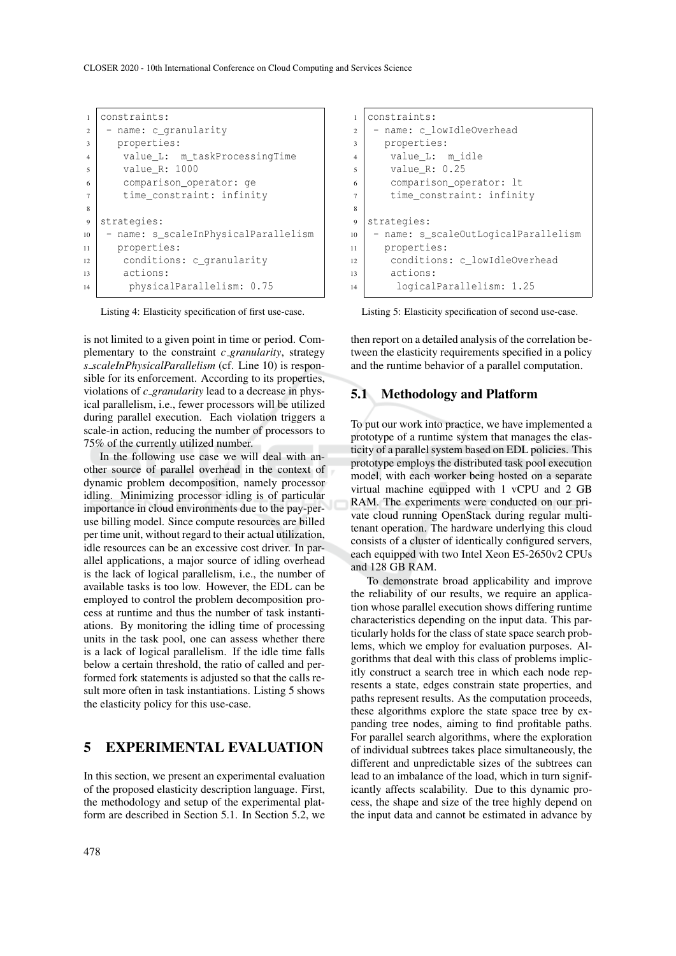```
1 constraints:
2 - name: c_granularity
3 properties:
4 value L: m taskProcessingTime
5 value_R: 1000
6 comparison_operator: ge
7 time_constraint: infinity
8
9 strategies:
10 - name: s_scaleInPhysicalParallelism
11 properties:
12 conditions: c_granularity
13 actions:
14 physicalParallelism: 0.75
```
Listing 4: Elasticity specification of first use-case.

is not limited to a given point in time or period. Complementary to the constraint *c granularity*, strategy *s scaleInPhysicalParallelism* (cf. Line 10) is responsible for its enforcement. According to its properties, violations of *c granularity* lead to a decrease in physical parallelism, i.e., fewer processors will be utilized during parallel execution. Each violation triggers a scale-in action, reducing the number of processors to 75% of the currently utilized number.

In the following use case we will deal with another source of parallel overhead in the context of dynamic problem decomposition, namely processor idling. Minimizing processor idling is of particular importance in cloud environments due to the pay-peruse billing model. Since compute resources are billed per time unit, without regard to their actual utilization, idle resources can be an excessive cost driver. In parallel applications, a major source of idling overhead is the lack of logical parallelism, i.e., the number of available tasks is too low. However, the EDL can be employed to control the problem decomposition process at runtime and thus the number of task instantiations. By monitoring the idling time of processing units in the task pool, one can assess whether there is a lack of logical parallelism. If the idle time falls below a certain threshold, the ratio of called and performed fork statements is adjusted so that the calls result more often in task instantiations. Listing 5 shows the elasticity policy for this use-case.

# 5 EXPERIMENTAL EVALUATION

In this section, we present an experimental evaluation of the proposed elasticity description language. First, the methodology and setup of the experimental platform are described in Section 5.1. In Section 5.2, we

```
1 constraints:
2 - name: c_llowIdleOverhead
3 properties:
4 value L: m idle
5 value_R: 0.25
6 comparison_operator: lt
7 time_constraint: infinity
\mathbf{Q}9 strategies:
10 - name: s_scaleOutLogicalParallelism
11 properties:
12 conditions: c_lowIdleOverhead
13 actions:
14 logicalParallelism: 1.25
```
Listing 5: Elasticity specification of second use-case.

then report on a detailed analysis of the correlation between the elasticity requirements specified in a policy and the runtime behavior of a parallel computation.

#### 5.1 Methodology and Platform

To put our work into practice, we have implemented a prototype of a runtime system that manages the elasticity of a parallel system based on EDL policies. This prototype employs the distributed task pool execution model, with each worker being hosted on a separate virtual machine equipped with 1 vCPU and 2 GB RAM. The experiments were conducted on our private cloud running OpenStack during regular multitenant operation. The hardware underlying this cloud consists of a cluster of identically configured servers, each equipped with two Intel Xeon E5-2650v2 CPUs and 128 GB RAM.

To demonstrate broad applicability and improve the reliability of our results, we require an application whose parallel execution shows differing runtime characteristics depending on the input data. This particularly holds for the class of state space search problems, which we employ for evaluation purposes. Algorithms that deal with this class of problems implicitly construct a search tree in which each node represents a state, edges constrain state properties, and paths represent results. As the computation proceeds, these algorithms explore the state space tree by expanding tree nodes, aiming to find profitable paths. For parallel search algorithms, where the exploration of individual subtrees takes place simultaneously, the different and unpredictable sizes of the subtrees can lead to an imbalance of the load, which in turn significantly affects scalability. Due to this dynamic process, the shape and size of the tree highly depend on the input data and cannot be estimated in advance by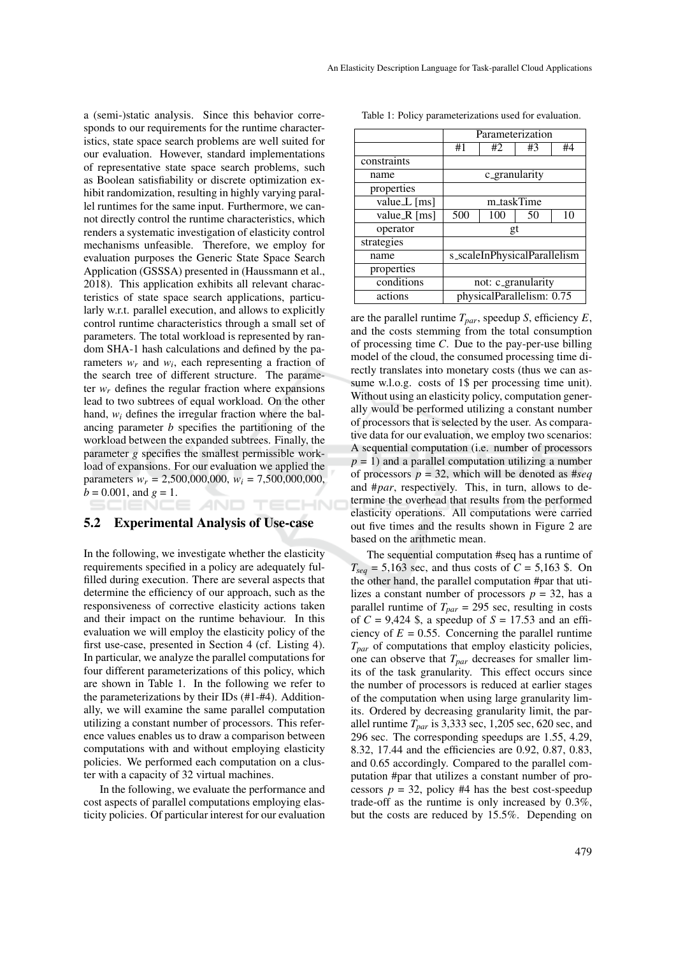a (semi-)static analysis. Since this behavior corresponds to our requirements for the runtime characteristics, state space search problems are well suited for our evaluation. However, standard implementations of representative state space search problems, such as Boolean satisfiability or discrete optimization exhibit randomization, resulting in highly varying parallel runtimes for the same input. Furthermore, we cannot directly control the runtime characteristics, which renders a systematic investigation of elasticity control mechanisms unfeasible. Therefore, we employ for evaluation purposes the Generic State Space Search Application (GSSSA) presented in (Haussmann et al., 2018). This application exhibits all relevant characteristics of state space search applications, particularly w.r.t. parallel execution, and allows to explicitly control runtime characteristics through a small set of parameters. The total workload is represented by random SHA-1 hash calculations and defined by the parameters  $w_r$  and  $w_i$ , each representing a fraction of the search tree of different structure. The parameter  $w_r$  defines the regular fraction where expansions lead to two subtrees of equal workload. On the other hand,  $w_i$  defines the irregular fraction where the balancing parameter *b* specifies the partitioning of the workload between the expanded subtrees. Finally, the parameter *g* specifies the smallest permissible workload of expansions. For our evaluation we applied the parameters  $w_r = 2,500,000,000, w_i = 7,500,000,000,$  $b = 0.001$ , and  $g = 1$ .

#### 5.2 Experimental Analysis of Use-case

In the following, we investigate whether the elasticity requirements specified in a policy are adequately fulfilled during execution. There are several aspects that determine the efficiency of our approach, such as the responsiveness of corrective elasticity actions taken and their impact on the runtime behaviour. In this evaluation we will employ the elasticity policy of the first use-case, presented in Section 4 (cf. Listing 4). In particular, we analyze the parallel computations for four different parameterizations of this policy, which are shown in Table 1. In the following we refer to the parameterizations by their IDs (#1-#4). Additionally, we will examine the same parallel computation utilizing a constant number of processors. This reference values enables us to draw a comparison between computations with and without employing elasticity policies. We performed each computation on a cluster with a capacity of 32 virtual machines.

In the following, we evaluate the performance and cost aspects of parallel computations employing elasticity policies. Of particular interest for our evaluation Table 1: Policy parameterizations used for evaluation.

|                | Parameterization             |     |    |    |  |  |
|----------------|------------------------------|-----|----|----|--|--|
|                | #1                           | #2  | #3 | #4 |  |  |
| constraints    |                              |     |    |    |  |  |
| name           | c_granularity                |     |    |    |  |  |
| properties     |                              |     |    |    |  |  |
| value $L$ [ms] | m_taskTime                   |     |    |    |  |  |
| value $R$ [ms] | 500                          | 100 | 50 | 10 |  |  |
| operator       | gt                           |     |    |    |  |  |
| strategies     |                              |     |    |    |  |  |
| name           | s_scaleInPhysicalParallelism |     |    |    |  |  |
| properties     |                              |     |    |    |  |  |
| conditions     | not: c_granularity           |     |    |    |  |  |
| actions        | physicalParallelism: 0.75    |     |    |    |  |  |

are the parallel runtime *Tpar*, speedup *S*, efficiency *E*, and the costs stemming from the total consumption of processing time *C*. Due to the pay-per-use billing model of the cloud, the consumed processing time directly translates into monetary costs (thus we can assume w.l.o.g. costs of 1\$ per processing time unit). Without using an elasticity policy, computation generally would be performed utilizing a constant number of processors that is selected by the user. As comparative data for our evaluation, we employ two scenarios: A sequential computation (i.e. number of processors  $p = 1$ ) and a parallel computation utilizing a number of processors  $p = 32$ , which will be denoted as #*seq* and #*par*, respectively. This, in turn, allows to determine the overhead that results from the performed elasticity operations. All computations were carried out five times and the results shown in Figure 2 are based on the arithmetic mean.

The sequential computation #seq has a runtime of  $T_{seq} = 5,163$  sec, and thus costs of  $C = 5,163$  \$. On the other hand, the parallel computation #par that utilizes a constant number of processors  $p = 32$ , has a parallel runtime of  $T_{par} = 295$  sec, resulting in costs of  $C = 9,424$  \$, a speedup of  $S = 17.53$  and an efficiency of  $E = 0.55$ . Concerning the parallel runtime *Tpar* of computations that employ elasticity policies, one can observe that *Tpar* decreases for smaller limits of the task granularity. This effect occurs since the number of processors is reduced at earlier stages of the computation when using large granularity limits. Ordered by decreasing granularity limit, the parallel runtime *Tpar* is 3,333 sec, 1,205 sec, 620 sec, and 296 sec. The corresponding speedups are 1.55, 4.29, 8.32, 17.44 and the efficiencies are 0.92, 0.87, 0.83, and 0.65 accordingly. Compared to the parallel computation #par that utilizes a constant number of processors  $p = 32$ , policy #4 has the best cost-speedup trade-off as the runtime is only increased by 0.3%, but the costs are reduced by 15.5%. Depending on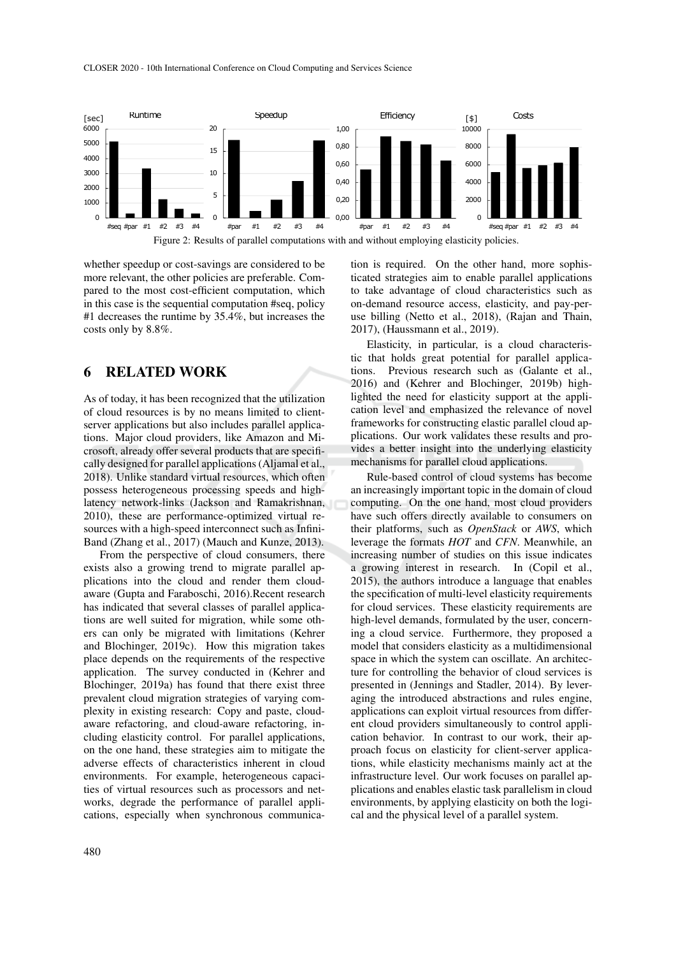CLOSER 2020 - 10th International Conference on Cloud Computing and Services Science



whether speedup or cost-savings are considered to be more relevant, the other policies are preferable. Compared to the most cost-efficient computation, which in this case is the sequential computation #seq, policy #1 decreases the runtime by 35.4%, but increases the costs only by 8.8%.

## 6 RELATED WORK

As of today, it has been recognized that the utilization of cloud resources is by no means limited to clientserver applications but also includes parallel applications. Major cloud providers, like Amazon and Microsoft, already offer several products that are specifically designed for parallel applications (Aljamal et al., 2018). Unlike standard virtual resources, which often possess heterogeneous processing speeds and highlatency network-links (Jackson and Ramakrishnan, 2010), these are performance-optimized virtual resources with a high-speed interconnect such as Infini-Band (Zhang et al., 2017) (Mauch and Kunze, 2013).

From the perspective of cloud consumers, there exists also a growing trend to migrate parallel applications into the cloud and render them cloudaware (Gupta and Faraboschi, 2016).Recent research has indicated that several classes of parallel applications are well suited for migration, while some others can only be migrated with limitations (Kehrer and Blochinger, 2019c). How this migration takes place depends on the requirements of the respective application. The survey conducted in (Kehrer and Blochinger, 2019a) has found that there exist three prevalent cloud migration strategies of varying complexity in existing research: Copy and paste, cloudaware refactoring, and cloud-aware refactoring, including elasticity control. For parallel applications, on the one hand, these strategies aim to mitigate the adverse effects of characteristics inherent in cloud environments. For example, heterogeneous capacities of virtual resources such as processors and networks, degrade the performance of parallel applications, especially when synchronous communication is required. On the other hand, more sophisticated strategies aim to enable parallel applications to take advantage of cloud characteristics such as on-demand resource access, elasticity, and pay-peruse billing (Netto et al., 2018), (Rajan and Thain, 2017), (Haussmann et al., 2019).

Elasticity, in particular, is a cloud characteristic that holds great potential for parallel applications. Previous research such as (Galante et al., 2016) and (Kehrer and Blochinger, 2019b) highlighted the need for elasticity support at the application level and emphasized the relevance of novel frameworks for constructing elastic parallel cloud applications. Our work validates these results and provides a better insight into the underlying elasticity mechanisms for parallel cloud applications.

Rule-based control of cloud systems has become an increasingly important topic in the domain of cloud computing. On the one hand, most cloud providers have such offers directly available to consumers on their platforms, such as *OpenStack* or *AWS*, which leverage the formats *HOT* and *CFN*. Meanwhile, an increasing number of studies on this issue indicates a growing interest in research. In (Copil et al., 2015), the authors introduce a language that enables the specification of multi-level elasticity requirements for cloud services. These elasticity requirements are high-level demands, formulated by the user, concerning a cloud service. Furthermore, they proposed a model that considers elasticity as a multidimensional space in which the system can oscillate. An architecture for controlling the behavior of cloud services is presented in (Jennings and Stadler, 2014). By leveraging the introduced abstractions and rules engine, applications can exploit virtual resources from different cloud providers simultaneously to control application behavior. In contrast to our work, their approach focus on elasticity for client-server applications, while elasticity mechanisms mainly act at the infrastructure level. Our work focuses on parallel applications and enables elastic task parallelism in cloud environments, by applying elasticity on both the logical and the physical level of a parallel system.